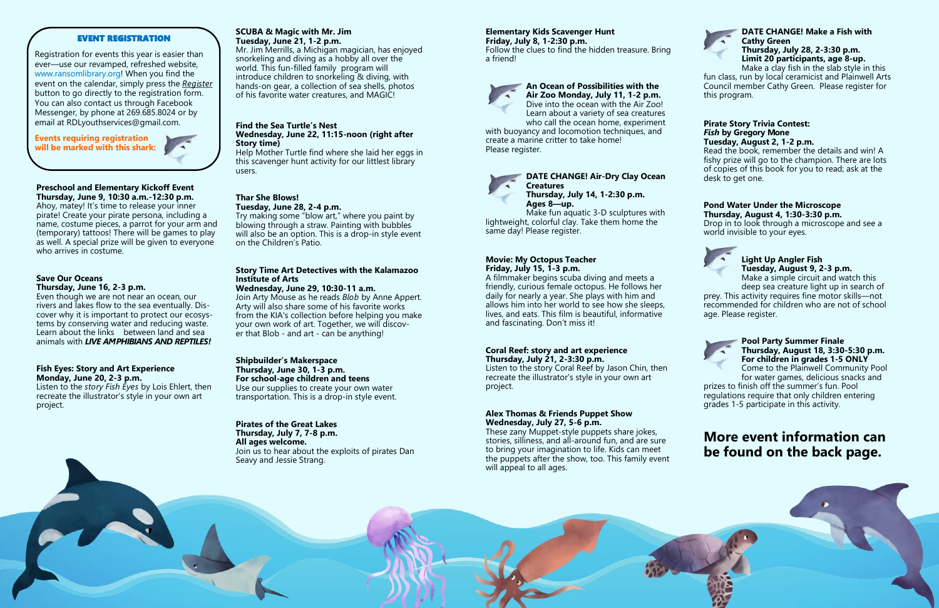# **Preschool and Elementary Kickoff Event**

**Thursday, June 9, 10:30 a.m.-12:30 p.m.**  Ahoy, matey! It's time to release your inner pirate! Create your pirate persona, including a name, costume pieces, a parrot for your arm and (temporary) tattoos! There will be games to play as well. A special prize will be given to everyone who arrives in costume.

#### **Save Our Oceans Thursday, June 16, 2-3 p.m.**

Even though we are not near an ocean, our rivers and lakes flow to the sea eventually. Discover why it is important to protect our ecosystems by conserving water and reducing waste. Learn about the links between land and sea animals with *LIVE AMPHIBIANS AND REPTILES!*

#### **Fish Eyes: Story and Art Experience Monday, June 20, 2-3 p.m.**

Listen to the *story Fish Eyes* by Lois Ehlert, then recreate the illustrator's style in your own art project.

#### **SCUBA & Magic with Mr. Jim Tuesday, June 21, 1-2 p.m.**

Mr. Jim Merrills, a Michigan magician, has enjoyed snorkeling and diving as a hobby all over the world. This fun-filled family program will introduce children to snorkeling & diving, with hands-on gear, a collection of sea shells, photos of his favorite water creatures, and MAGIC!

**An Ocean of Possibilities with the Air Zoo Monday, July 11, 1-2 p.m.**  Dive into the ocean with the Air Zoo! Learn about a variety of sea creatures who call the ocean home, experiment

#### **Find the Sea Turtle's Nest Wednesday, June 22, 11:15-noon (right after Story time)**

Help Mother Turtle find where she laid her eggs in this scavenger hunt activity for our littlest library users.

with buoyancy and locomotion techniques, and create a marine critter to take home! Please register.

# **Thar She Blows!**

**Tuesday, June 28, 2-4 p.m.**  Try making some "blow art," where you paint by blowing through a straw. Painting with bubbles will also be an option. This is a drop-in style event on the Children's Patio.

#### **Story Time Art Detectives with the Kalamazoo Institute of Arts**

# **Wednesday, June 29, 10:30-11 a.m.**

Join Arty Mouse as he reads *Blob* by Anne Appert. Arty will also share some of his favorite works from the KIA's collection before helping you make your own work of art. Together, we will discover that Blob - and art - can be anything!

#### **Shipbuilder's Makerspace Thursday, June 30, 1-3 p.m. For school-age children and teens**

Use our supplies to create your own water transportation. This is a drop-in style event.

#### **Pirates of the Great Lakes Thursday, July 7, 7-8 p.m.**

**All ages welcome.** Join us to hear about the exploits of pirates Dan Seavy and Jessie Strang.

### **Elementary Kids Scavenger Hunt**

**Friday, July 8, 1-2:30 p.m.**  Follow the clues to find the hidden treasure. Bring a friend!





lightweight, colorful clay. Take them home the same day! Please register.

#### **Movie: My Octopus Teacher Friday, July 15, 1-3 p.m.**

A filmmaker begins scuba diving and meets a friendly, curious female octopus. He follows her daily for nearly a year. She plays with him and allows him into her world to see how she sleeps, lives, and eats. This film is beautiful, informative and fascinating. Don't miss it!

#### **Coral Reef: story and art experience Thursday, July 21, 2-3:30 p.m.**

Listen to the story Coral Reef by Jason Chin, then recreate the illustrator's style in your own art project.

#### **Alex Thomas & Friends Puppet Show Wednesday, July 27, 5-6 p.m.**

These zany Muppet-style puppets share jokes, stories, silliness, and all-around fun, and are sure to bring your imagination to life. Kids can meet the puppets after the show, too. This family event will appeal to all ages.



Make a clay fish in the slab style in this fun class, run by local ceramicist and Plainwell Arts Council member Cathy Green. Please register for this program.

#### **Pirate Story Trivia Contest:**  *Fish* **by Gregory Mone Tuesday, August 2, 1-2 p.m.**

Read the book, remember the details and win! A fishy prize will go to the champion. There are lots of copies of this book for you to read; ask at the desk to get one.

#### **Pond Water Under the Microscope Thursday, August 4, 1:30-3:30 p.m.**

Drop in to look through a microscope and see a world invisible to your eyes.



#### **Light Up Angler Fish Tuesday, August 9, 2-3 p.m.**

Make a simple circuit and watch this deep sea creature light up in search of

prey. This activity requires fine motor skills—not recommended for children who are not of school age. Please register.



## **Pool Party Summer Finale Thursday, August 18, 3:30-5:30 p.m. For children in grades 1-5 ONLY**

Come to the Plainwell Community Pool for water games, delicious snacks and prizes to finish off the summer's fun. Pool

regulations require that only children entering grades 1-5 participate in this activity.

# **More event information can be found on the back page.**



#### EVENT REGISTRATION

Registration for events this year is easier than ever—use our revamped, refreshed website, www.ransomlibrary.org! When you find the event on the calendar, simply press the *Register* button to go directly to the registration form. You can also contact us through Facebook Messenger, by phone at 269.685.8024 or by email at RDLyouthservices@gmail.com.

**Events requiring registration will be marked with this shark:**